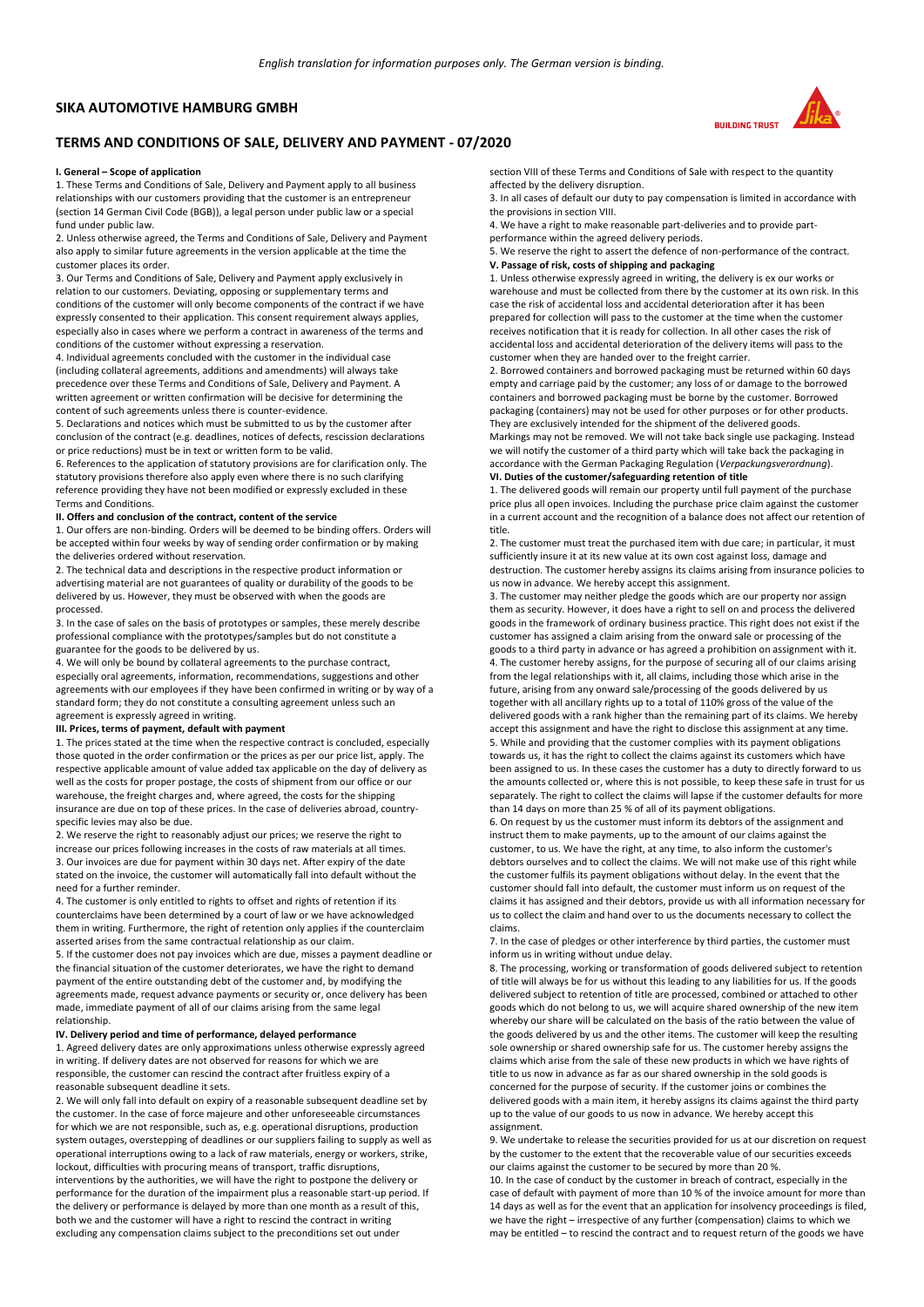## **SIKA AUTOMOTIVE HAMBURG GMBH**

# **TERMS AND CONDITIONS OF SALE, DELIVERY AND PAYMENT - 07/2020**

#### **I. General – Scope of application**

1. These Terms and Conditions of Sale, Delivery and Payment apply to all business relationships with our customers providing that the customer is an entrepreneur (section 14 German Civil Code (BGB)), a legal person under public law or a special fund under public law.

2. Unless otherwise agreed, the Terms and Conditions of Sale, Delivery and Payment also apply to similar future agreements in the version applicable at the time the customer places its order.

3. Our Terms and Conditions of Sale, Delivery and Payment apply exclusively in relation to our customers. Deviating, opposing or supplementary terms and conditions of the customer will only become components of the contract if we have expressly consented to their application. This consent requirement always applies, especially also in cases where we perform a contract in awareness of the terms and conditions of the customer without expressing a reservation.

4. Individual agreements concluded with the customer in the individual case (including collateral agreements, additions and amendments) will always take precedence over these Terms and Conditions of Sale, Delivery and Payment. A written agreement or written confirmation will be decisive for determining the content of such agreements unless there is counter-evidence.

5. Declarations and notices which must be submitted to us by the customer after conclusion of the contract (e.g. deadlines, notices of defects, rescission declarations or price reductions) must be in text or written form to be valid.

6. References to the application of statutory provisions are for clarification only. The statutory provisions therefore also apply even where there is no such clarifying reference providing they have not been modified or expressly excluded in these Terms and Conditions.

## **II. Offers and conclusion of the contract, content of the service**

1. Our offers are non-binding. Orders will be deemed to be binding offers. Orders will be accepted within four weeks by way of sending order confirmation or by making the deliveries ordered without reservation.

2. The technical data and descriptions in the respective product information or advertising material are not guarantees of quality or durability of the goods to be delivered by us. However, they must be observed with when the goods are processed.

3. In the case of sales on the basis of prototypes or samples, these merely describe professional compliance with the prototypes/samples but do not constitute a guarantee for the goods to be delivered by us.

4. We will only be bound by collateral agreements to the purchase contract, especially oral agreements, information, recommendations, suggestions and other agreements with our employees if they have been confirmed in writing or by way of a standard form; they do not constitute a consulting agreement unless such an agreement is expressly agreed in writing.

#### **III. Prices, terms of payment, default with payment**

1. The prices stated at the time when the respective contract is concluded, especially those quoted in the order confirmation or the prices as per our price list, apply. The respective applicable amount of value added tax applicable on the day of delivery as well as the costs for proper postage, the costs of shipment from our office or our warehouse, the freight charges and, where agreed, the costs for the shipping insurance are due on top of these prices. In the case of deliveries abroad, countryspecific levies may also be due.

2. We reserve the right to reasonably adjust our prices; we reserve the right to increase our prices following increases in the costs of raw materials at all times. 3. Our invoices are due for payment within 30 days net. After expiry of the date stated on the invoice, the customer will automatically fall into default without the need for a further reminder.

4. The customer is only entitled to rights to offset and rights of retention if its counterclaims have been determined by a court of law or we have acknowledged them in writing. Furthermore, the right of retention only applies if the counterclaim asserted arises from the same contractual relationship as our claim.

5. If the customer does not pay invoices which are due, misses a payment deadline or the financial situation of the customer deteriorates, we have the right to demand payment of the entire outstanding debt of the customer and, by modifying the agreements made, request advance payments or security or, once delivery has been made, immediate payment of all of our claims arising from the same legal relationship.

### **IV. Delivery period and time of performance, delayed performance**

1. Agreed delivery dates are only approximations unless otherwise expressly agreed in writing. If delivery dates are not observed for reasons for which we are responsible, the customer can rescind the contract after fruitless expiry of a reasonable subsequent deadline it sets.

2. We will only fall into default on expiry of a reasonable subsequent deadline set by the customer. In the case of force majeure and other unforeseeable circumstances for which we are not responsible, such as, e.g. operational disruptions, production system outages, overstepping of deadlines or our suppliers failing to supply as well as operational interruptions owing to a lack of raw materials, energy or workers, strike, lockout, difficulties with procuring means of transport, traffic disruptions, interventions by the authorities, we will have the right to postpone the delivery or performance for the duration of the impairment plus a reasonable start-up period. If the delivery or performance is delayed by more than one month as a result of this, both we and the customer will have a right to rescind the contract in writing excluding any compensation claims subject to the preconditions set out under



section VIII of these Terms and Conditions of Sale with respect to the quantity affected by the delivery disruption.

3. In all cases of default our duty to pay compensation is limited in accordance with the provisions in section VIII.

4. We have a right to make reasonable part-deliveries and to provide partperformance within the agreed delivery periods.

5. We reserve the right to assert the defence of non-performance of the contract. **V. Passage of risk, costs of shipping and packaging** 

1. Unless otherwise expressly agreed in writing, the delivery is ex our works or warehouse and must be collected from there by the customer at its own risk. In this case the risk of accidental loss and accidental deterioration after it has been prepared for collection will pass to the customer at the time when the customer receives notification that it is ready for collection. In all other cases the risk of accidental loss and accidental deterioration of the delivery items will pass to the customer when they are handed over to the freight carrier.

2. Borrowed containers and borrowed packaging must be returned within 60 days empty and carriage paid by the customer; any loss of or damage to the borrowed containers and borrowed packaging must be borne by the customer. Borrowed packaging (containers) may not be used for other purposes or for other products. They are exclusively intended for the shipment of the delivered goods.

Markings may not be removed. We will not take back single use packaging. Instead we will notify the customer of a third party which will take back the packaging in accordance with the German Packaging Regulation (*Verpackungsverordnung*).

# **VI. Duties of the customer/safeguarding retention of title**

1. The delivered goods will remain our property until full payment of the purchase price plus all open invoices. Including the purchase price claim against the customer in a current account and the recognition of a balance does not affect our retention of title.

2. The customer must treat the purchased item with due care; in particular, it must sufficiently insure it at its new value at its own cost against loss, damage and destruction. The customer hereby assigns its claims arising from insurance policies to us now in advance. We hereby accept this assignment.

3. The customer may neither pledge the goods which are our property nor assign them as security. However, it does have a right to sell on and process the delivered goods in the framework of ordinary business practice. This right does not exist if the customer has assigned a claim arising from the onward sale or processing of the goods to a third party in advance or has agreed a prohibition on assignment with it. 4. The customer hereby assigns, for the purpose of securing all of our claims arising from the legal relationships with it, all claims, including those which arise in the future, arising from any onward sale/processing of the goods delivered by us together with all ancillary rights up to a total of 110% gross of the value of the delivered goods with a rank higher than the remaining part of its claims. We hereby accept this assignment and have the right to disclose this assignment at any time. 5. While and providing that the customer complies with its payment obligations towards us, it has the right to collect the claims against its customers which have been assigned to us. In these cases the customer has a duty to directly forward to us the amounts collected or, where this is not possible, to keep these safe in trust for us separately. The right to collect the claims will lapse if the customer defaults for more than 14 days on more than 25 % of all of its payment obligations.

6. On request by us the customer must inform its debtors of the assignment and instruct them to make payments, up to the amount of our claims against the customer, to us. We have the right, at any time, to also inform the customer's debtors ourselves and to collect the claims. We will not make use of this right while the customer fulfils its payment obligations without delay. In the event that the customer should fall into default, the customer must inform us on request of the claims it has assigned and their debtors, provide us with all information necessary for us to collect the claim and hand over to us the documents necessary to collect the claims.

7. In the case of pledges or other interference by third parties, the customer must inform us in writing without undue delay.

8. The processing, working or transformation of goods delivered subject to retention of title will always be for us without this leading to any liabilities for us. If the goods delivered subject to retention of title are processed, combined or attached to other goods which do not belong to us, we will acquire shared ownership of the new item whereby our share will be calculated on the basis of the ratio between the value of the goods delivered by us and the other items. The customer will keep the resulting sole ownership or shared ownership safe for us. The customer hereby assigns the claims which arise from the sale of these new products in which we have rights of title to us now in advance as far as our shared ownership in the sold goods is concerned for the purpose of security. If the customer joins or combines the delivered goods with a main item, it hereby assigns its claims against the third party up to the value of our goods to us now in advance. We hereby accept this assignment.

9. We undertake to release the securities provided for us at our discretion on request by the customer to the extent that the recoverable value of our securities exceeds our claims against the customer to be secured by more than 20 %.

10. In the case of conduct by the customer in breach of contract, especially in the case of default with payment of more than 10 % of the invoice amount for more than 14 days as well as for the event that an application for insolvency proceedings is filed, we have the right – irrespective of any further (compensation) claims to which we may be entitled – to rescind the contract and to request return of the goods we have